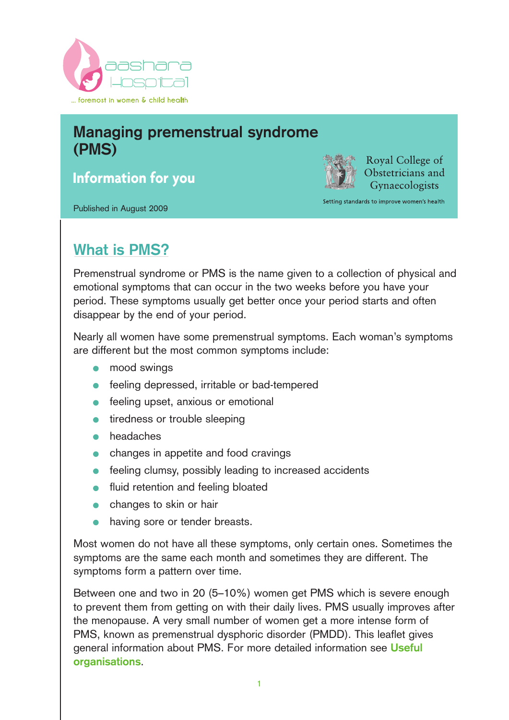

# **Managing premenstrual syndrome (PMS)**

**Information for you**

Published in August 2009

Royal College of Obstetricians and Gynaecologists

Setting standards to improve women's health

# **What is PMS?**

Premenstrual syndrome or PMS is the name given to a collection of physical and emotional symptoms that can occur in the two weeks before you have your period. These symptoms usually get better once your period starts and often disappear by the end of your period.

Nearly all women have some premenstrual symptoms. Each woman's symptoms are different but the most common symptoms include:

- mood swings  $\bullet$
- **•** feeling depressed, irritable or bad-tempered
- feeling upset, anxious or emotional
- tiredness or trouble sleeping
- headaches
- changes in appetite and food cravings
- feeling clumsy, possibly leading to increased accidents
- fluid retention and feeling bloated
- changes to skin or hair
- having sore or tender breasts.

Most women do not have all these symptoms, only certain ones. Sometimes the symptoms are the same each month and sometimes they are different. The symptoms form a pattern over time.

Between one and two in 20 (5–10%) women get PMS which is severe enough to prevent them from getting on with their daily lives. PMS usually improves after the menopause. A very small number of women get a more intense form of PMS, known as premenstrual dysphoric disorder (PMDD). This leaflet gives general information about PMS. For more detailed information see **Useful organisations**.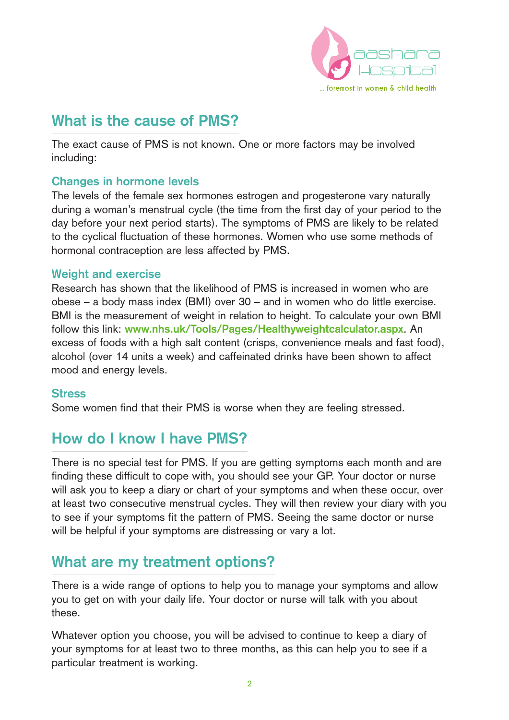

## **What is the cause of PMS?**

The exact cause of PMS is not known. One or more factors may be involved including:

### **Changes in hormone levels**

The levels of the female sex hormones estrogen and progesterone vary naturally during a woman's menstrual cycle (the time from the first day of your period to the day before your next period starts). The symptoms of PMS are likely to be related to the cyclical fluctuation of these hormones. Women who use some methods of hormonal contraception are less affected by PMS.

### **Weight and exercise**

Research has shown that the likelihood of PMS is increased in women who are obese – a body mass index (BMI) over 30 – and in women who do little exercise. BMI is the measurement of weight in relation to height. To calculate your own BMI follow this link: **www.nhs.uk/Tools/Pages/Healthyweightcalculator.aspx**. An excess of foods with a high salt content (crisps, convenience meals and fast food), alcohol (over 14 units a week) and caffeinated drinks have been shown to affect mood and energy levels.

#### **Stress**

Some women find that their PMS is worse when they are feeling stressed.

## **How do I know I have PMS?**

There is no special test for PMS. If you are getting symptoms each month and are finding these difficult to cope with, you should see your GP. Your doctor or nurse will ask you to keep a diary or chart of your symptoms and when these occur, over at least two consecutive menstrual cycles. They will then review your diary with you to see if your symptoms fit the pattern of PMS. Seeing the same doctor or nurse will be helpful if your symptoms are distressing or vary a lot.

## **What are my treatment options?**

There is a wide range of options to help you to manage your symptoms and allow you to get on with your daily life. Your doctor or nurse will talk with you about these.

Whatever option you choose, you will be advised to continue to keep a diary of your symptoms for at least two to three months, as this can help you to see if a particular treatment is working.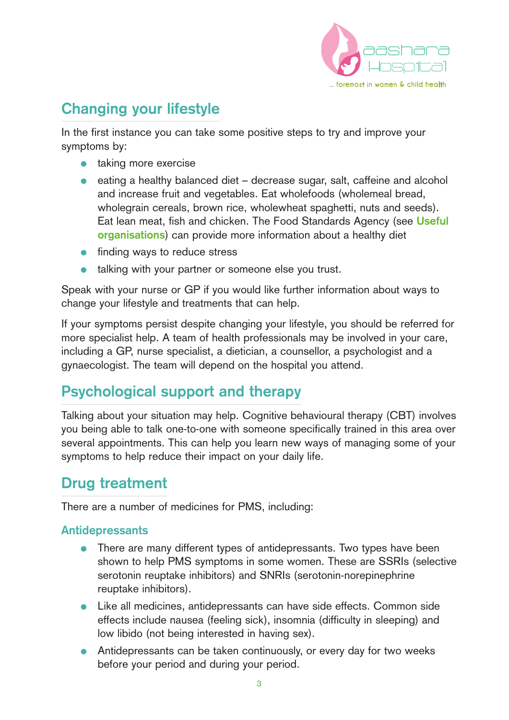

# **Changing your lifestyle**

In the first instance you can take some positive steps to try and improve your symptoms by:

- taking more exercise
- eating a healthy balanced diet decrease sugar, salt, caffeine and alcohol and increase fruit and vegetables. Eat wholefoods (wholemeal bread, wholegrain cereals, brown rice, wholewheat spaghetti, nuts and seeds). Eat lean meat, fish and chicken. The Food Standards Agency (see **Useful organisations**) can provide more information about a healthy diet
- finding ways to reduce stress
- talking with your partner or someone else you trust.

Speak with your nurse or GP if you would like further information about ways to change your lifestyle and treatments that can help.

If your symptoms persist despite changing your lifestyle, you should be referred for more specialist help. A team of health professionals may be involved in your care, including a GP, nurse specialist, a dietician, a counsellor, a psychologist and a gynaecologist. The team will depend on the hospital you attend.

# **Psychological support and therapy**

Talking about your situation may help. Cognitive behavioural therapy (CBT) involves you being able to talk one-to-one with someone specifically trained in this area over several appointments. This can help you learn new ways of managing some of your symptoms to help reduce their impact on your daily life.

# **Drug treatment**

There are a number of medicines for PMS, including:

### **Antidepressants**

- There are many different types of antidepressants. Two types have been shown to help PMS symptoms in some women. These are SSRIs (selective serotonin reuptake inhibitors) and SNRIs (serotonin-norepinephrine reuptake inhibitors).
- Like all medicines, antidepressants can have side effects. Common side effects include nausea (feeling sick), insomnia (difficulty in sleeping) and low libido (not being interested in having sex).
- Antidepressants can be taken continuously, or every day for two weeks before your period and during your period.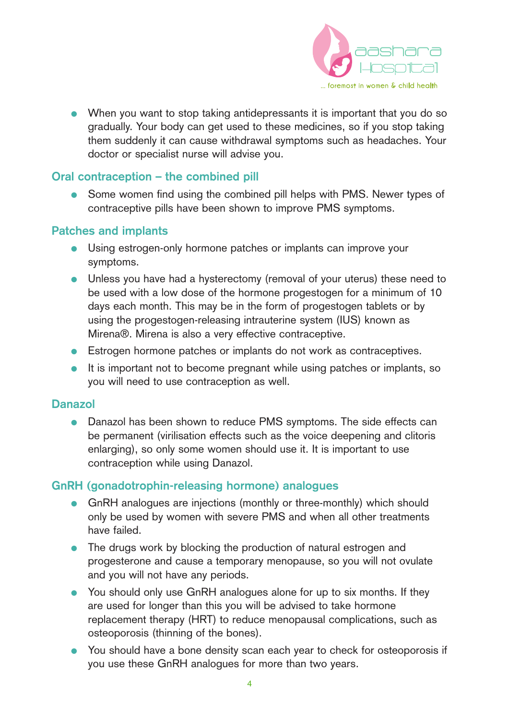

● When you want to stop taking antidepressants it is important that you do so gradually. Your body can get used to these medicines, so if you stop taking them suddenly it can cause withdrawal symptoms such as headaches. Your doctor or specialist nurse will advise you.

### **Oral contraception – the combined pill**

● Some women find using the combined pill helps with PMS. Newer types of contraceptive pills have been shown to improve PMS symptoms.

#### **Patches and implants**

- Using estrogen-only hormone patches or implants can improve your symptoms.
- Unless you have had a hysterectomy (removal of your uterus) these need to be used with a low dose of the hormone progestogen for a minimum of 10 days each month. This may be in the form of progestogen tablets or by using the progestogen-releasing intrauterine system (IUS) known as Mirena®. Mirena is also a very effective contraceptive.
- Estrogen hormone patches or implants do not work as contraceptives.
- It is important not to become pregnant while using patches or implants, so you will need to use contraception as well.

#### **Danazol**

● Danazol has been shown to reduce PMS symptoms. The side effects can be permanent (virilisation effects such as the voice deepening and clitoris enlarging), so only some women should use it. It is important to use contraception while using Danazol.

#### **GnRH (gonadotrophin-releasing hormone) analogues**

- GnRH analogues are injections (monthly or three-monthly) which should only be used by women with severe PMS and when all other treatments have failed.
- The drugs work by blocking the production of natural estrogen and progesterone and cause a temporary menopause, so you will not ovulate and you will not have any periods.
- You should only use GnRH analogues alone for up to six months. If they are used for longer than this you will be advised to take hormone replacement therapy (HRT) to reduce menopausal complications, such as osteoporosis (thinning of the bones).
- You should have a bone density scan each year to check for osteoporosis if you use these GnRH analogues for more than two years.